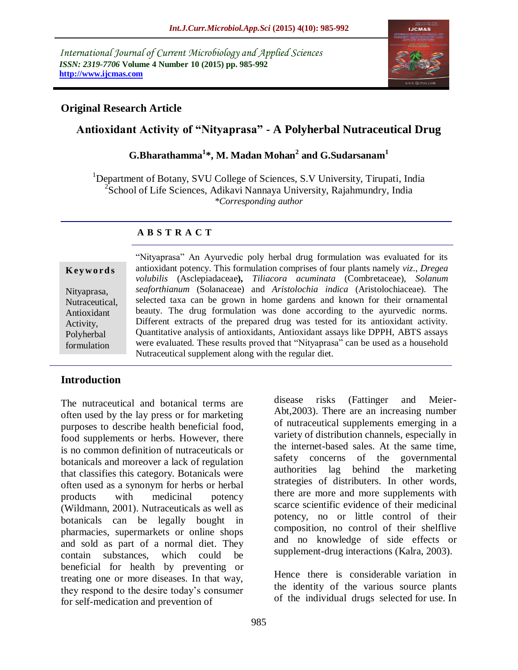*International Journal of Current Microbiology and Applied Sciences ISSN: 2319-7706* **Volume 4 Number 10 (2015) pp. 985-992 http://www.ijcmas.com** 



## **Original Research Article**

# **Antioxidant Activity of "Nityaprasa" - A Polyherbal Nutraceutical Drug**

**G.Bharathamma<sup>1</sup> \*, M. Madan Mohan<sup>2</sup> and G.Sudarsanam<sup>1</sup>**

<sup>1</sup>Department of Botany, SVU College of Sciences, S.V University, Tirupati, India <sup>2</sup>School of Life Sciences, Adikavi Nannaya University, Rajahmundry, India *\*Corresponding author*

## **A B S T R A C T**

#### **K ey w o rd s**

Nityaprasa, Nutraceutical, Antioxidant Activity, Polyherbal formulation

"Nityaprasa" An Ayurvedic poly herbal drug formulation was evaluated for its antioxidant potency. This formulation comprises of four plants namely *viz*., *Dregea volubilis* (Asclepiadaceae**),** *Tiliacora acuminata* (Combretaceae), *Solanum seaforthianum* (Solanaceae) and *Aristolochia indica* (Aristolochiaceae). The selected taxa can be grown in home gardens and known for their ornamental beauty. The drug formulation was done according to the ayurvedic norms. Different extracts of the prepared drug was tested for its antioxidant activity. Quantitative analysis of antioxidants, Antioxidant assays like DPPH, ABTS assays were evaluated. These results proved that "Nityaprasa" can be used as a household Nutraceutical supplement along with the regular diet.

## **Introduction**

The nutraceutical and botanical terms are often used by the lay press or for marketing purposes to describe health beneficial food, food supplements or herbs. However, there is no common definition of nutraceuticals or botanicals and moreover a lack of regulation that classifies this category. Botanicals were often used as a synonym for herbs or herbal products with medicinal potency (Wildmann, 2001). Nutraceuticals as well as botanicals can be legally bought in pharmacies, supermarkets or online shops and sold as part of a normal diet. They contain substances, which could be beneficial for health by preventing or treating one or more diseases. In that way, they respond to the desire today"s consumer for self-medication and prevention of

disease risks (Fattinger and Meier-Abt,2003). There are an increasing number of nutraceutical supplements emerging in a variety of distribution channels, especially in the internet-based sales. At the same time, safety concerns of the governmental authorities lag behind the marketing strategies of distributers. In other words, there are more and more supplements with scarce scientific evidence of their medicinal potency, no or little control of their composition, no control of their shelflive and no knowledge of side effects or supplement-drug interactions (Kalra, 2003).

Hence there is considerable variation in the identity of the various source plants of the individual drugs selected for use. In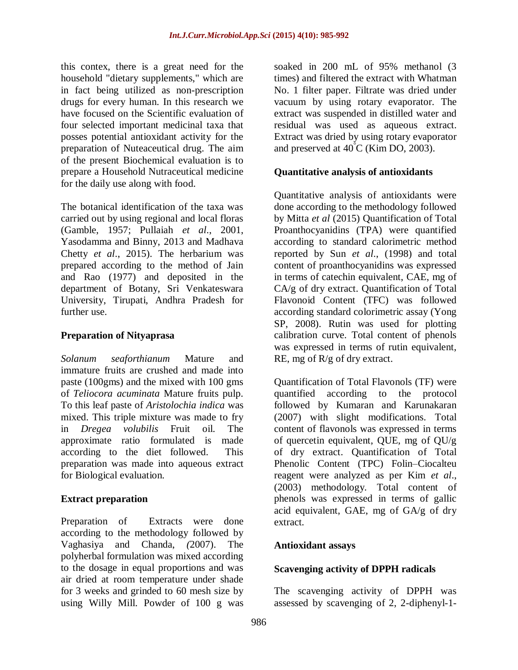this contex, there is a great need for the household "dietary supplements," which are in fact being utilized as non-prescription drugs for every human. In this research we have focused on the Scientific evaluation of four selected important medicinal taxa that posses potential antioxidant activity for the preparation of Nuteaceutical drug. The aim of the present Biochemical evaluation is to prepare a Household Nutraceutical medicine for the daily use along with food.

The botanical identification of the taxa was carried out by using regional and local floras (Gamble, 1957; Pullaiah *et al*., 2001, Yasodamma and Binny, 2013 and Madhava Chetty *et al*., 2015). The herbarium was prepared according to the method of Jain and Rao (1977) and deposited in the department of Botany, Sri Venkateswara University, Tirupati, Andhra Pradesh for further use.

## **Preparation of Nityaprasa**

*Solanum seaforthianum* Mature and immature fruits are crushed and made into paste (100gms) and the mixed with 100 gms of *Teliocora acuminata* Mature fruits pulp. To this leaf paste of *Aristolochia indica* was mixed. This triple mixture was made to fry in *Dregea volubilis* Fruit oil. The approximate ratio formulated is made according to the diet followed. This preparation was made into aqueous extract for Biological evaluation.

## **Extract preparation**

Preparation of Extracts were done according to the methodology followed by Vaghasiya and Chanda, *(*2007). The polyherbal formulation was mixed according to the dosage in equal proportions and was air dried at room temperature under shade for 3 weeks and grinded to 60 mesh size by using Willy Mill. Powder of 100 g was

soaked in 200 mL of 95% methanol (3 times) and filtered the extract with Whatman No. 1 filter paper. Filtrate was dried under vacuum by using rotary evaporator. The extract was suspended in distilled water and residual was used as aqueous extract. Extract was dried by using rotary evaporator and preserved at  $40^{\circ}$ C (Kim DO, 2003).

## **Quantitative analysis of antioxidants**

Quantitative analysis of antioxidants were done according to the methodology followed by Mitta *et al* (2015) Quantification of Total Proanthocyanidins (TPA) were quantified according to standard calorimetric method reported by Sun *et al*., (1998) and total content of proanthocyanidins was expressed in terms of catechin equivalent, CAE, mg of CA/g of dry extract. Quantification of Total Flavonoid Content (TFC) was followed according standard colorimetric assay (Yong SP, 2008). Rutin was used for plotting calibration curve. Total content of phenols was expressed in terms of rutin equivalent, RE, mg of R/g of dry extract.

Quantification of Total Flavonols (TF) were quantified according to the protocol followed by Kumaran and Karunakaran (2007) with slight modifications. Total content of flavonols was expressed in terms of quercetin equivalent, QUE, mg of QU/g of dry extract. Quantification of Total Phenolic Content (TPC) Folin–Ciocalteu reagent were analyzed as per Kim *et al*., (2003) methodology. Total content of phenols was expressed in terms of gallic acid equivalent, GAE, mg of GA/g of dry extract.

## **Antioxidant assays**

## **Scavenging activity of DPPH radicals**

The scavenging activity of DPPH was assessed by scavenging of 2, 2-diphenyl-1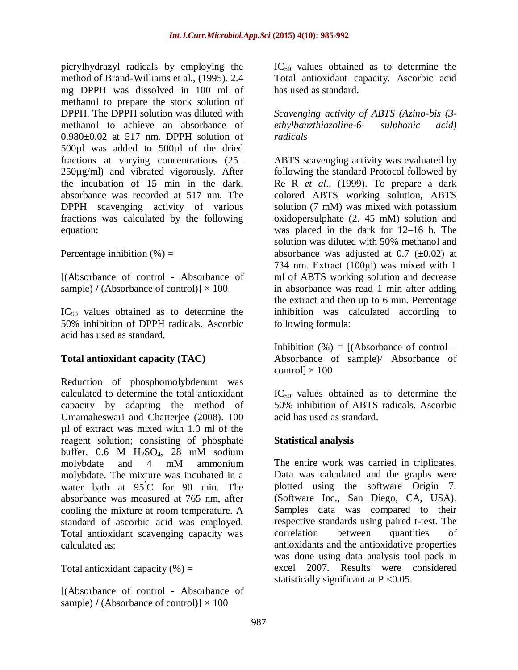picrylhydrazyl radicals by employing the method of Brand-Williams et al., (1995). 2.4 mg DPPH was dissolved in 100 ml of methanol to prepare the stock solution of DPPH. The DPPH solution was diluted with methanol to achieve an absorbance of  $0.980\pm0.02$  at 517 nm. DPPH solution of 500µl was added to 500µl of the dried fractions at varying concentrations (25– 250µg/ml) and vibrated vigorously. After the incubation of 15 min in the dark, absorbance was recorded at 517 nm. The DPPH scavenging activity of various fractions was calculated by the following equation:

Percentage inhibition  $(\% )$  =

[(Absorbance of control - Absorbance of sample)  $\ell$  (Absorbance of control)]  $\times$  100

IC<sup>50</sup> values obtained as to determine the 50% inhibition of DPPH radicals. Ascorbic acid has used as standard.

## **Total antioxidant capacity (TAC)**

Reduction of phosphomolybdenum was calculated to determine the total antioxidant capacity by adapting the method of Umamaheswari and Chatterjee (2008). 100 µl of extract was mixed with 1.0 ml of the reagent solution; consisting of phosphate buffer, 0.6 M H2SO4, 28 mM sodium molybdate and 4 mM ammonium molybdate. The mixture was incubated in a water bath at 95°C for 90 min. The absorbance was measured at 765 nm, after cooling the mixture at room temperature. A standard of ascorbic acid was employed. Total antioxidant scavenging capacity was calculated as:

Total antioxidant capacity  $(\% )$  =

[(Absorbance of control - Absorbance of sample)  $\ell$  (Absorbance of control)]  $\times$  100

 $IC_{50}$  values obtained as to determine the Total antioxidant capacity. Ascorbic acid has used as standard.

*Scavenging activity of ABTS (Azino-bis (3 ethylbanzthiazoline-6- sulphonic acid) radicals*

ABTS scavenging activity was evaluated by following the standard Protocol followed by Re R *et al*., (1999). To prepare a dark colored ABTS working solution, ABTS solution (7 mM) was mixed with potassium oxidopersulphate (2. 45 mM) solution and was placed in the dark for 12–16 h. The solution was diluted with 50% methanol and absorbance was adjusted at  $0.7$  ( $\pm 0.02$ ) at 734 nm. Extract (100μl) was mixed with 1 ml of ABTS working solution and decrease in absorbance was read 1 min after adding the extract and then up to 6 min. Percentage inhibition was calculated according to following formula:

Inhibition  $(\%) = [(\text{Absorbane of control} - \text{]}]$ Absorbance of sample)/ Absorbance of control $] \times 100$ 

IC<sup>50</sup> values obtained as to determine the 50% inhibition of ABTS radicals. Ascorbic acid has used as standard.

## **Statistical analysis**

The entire work was carried in triplicates. Data was calculated and the graphs were plotted using the software Origin 7. (Software Inc., San Diego, CA, USA). Samples data was compared to their respective standards using paired t-test. The correlation between quantities of antioxidants and the antioxidative properties was done using data analysis tool pack in excel 2007. Results were considered statistically significant at  $P < 0.05$ .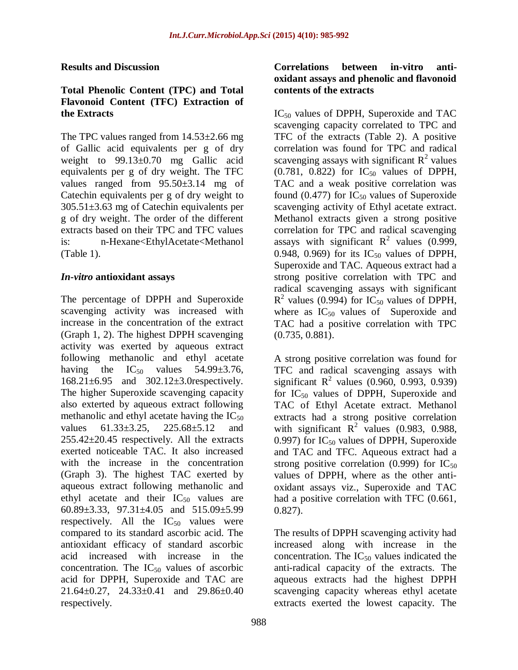### **Results and Discussion**

### **Total Phenolic Content (TPC) and Total Flavonoid Content (TFC) Extraction of the Extracts**

The TPC values ranged from 14.53±2.66 mg of Gallic acid equivalents per g of dry weight to 99.13±0.70 mg Gallic acid equivalents per g of dry weight. The TFC values ranged from 95.50±3.14 mg of Catechin equivalents per g of dry weight to 305.51±3.63 mg of Catechin equivalents per g of dry weight. The order of the different extracts based on their TPC and TFC values is: n-Hexane<EthylAcetate<Methanol (Table 1).

### *In-vitro* **antioxidant assays**

The percentage of DPPH and Superoxide scavenging activity was increased with increase in the concentration of the extract (Graph 1, 2). The highest DPPH scavenging activity was exerted by aqueous extract following methanolic and ethyl acetate having the  $IC_{50}$  values 54.99 $\pm$ 3.76, 168.21±6.95 and 302.12±3.0respectively. The higher Superoxide scavenging capacity also exterted by aqueous extract following methanolic and ethyl acetate having the  $IC_{50}$ values 61.33±3.25, 225.68±5.12 and  $255.42 \pm 20.45$  respectively. All the extracts exerted noticeable TAC. It also increased with the increase in the concentration (Graph 3). The highest TAC exerted by aqueous extract following methanolic and ethyl acetate and their  $IC_{50}$  values are 60.89±3.33, 97.31±4.05 and 515.09±5.99 respectively. All the  $IC_{50}$  values were compared to its standard ascorbic acid. The antioxidant efficacy of standard ascorbic acid increased with increase in the concentration. The  $IC_{50}$  values of ascorbic acid for DPPH, Superoxide and TAC are 21.64±0.27, 24.33±0.41 and 29.86±0.40 respectively.

## **Correlations between in-vitro antioxidant assays and phenolic and flavonoid contents of the extracts**

 $IC_{50}$  values of DPPH, Superoxide and TAC scavenging capacity correlated to TPC and TFC of the extracts (Table 2). A positive correlation was found for TPC and radical scavenging assays with significant  $R^2$  values  $(0.781, 0.822)$  for  $IC_{50}$  values of DPPH, TAC and a weak positive correlation was found (0.477) for  $IC_{50}$  values of Superoxide scavenging activity of Ethyl acetate extract. Methanol extracts given a strong positive correlation for TPC and radical scavenging assays with significant  $R^2$  values (0.999, 0.948, 0.969) for its  $IC_{50}$  values of DPPH, Superoxide and TAC. Aqueous extract had a strong positive correlation with TPC and radical scavenging assays with significant  $R^2$  values (0.994) for IC<sub>50</sub> values of DPPH, where as  $IC_{50}$  values of Superoxide and TAC had a positive correlation with TPC (0.735, 0.881).

A strong positive correlation was found for TFC and radical scavenging assays with significant  $R^2$  values (0.960, 0.993, 0.939) for  $IC_{50}$  values of DPPH, Superoxide and TAC of Ethyl Acetate extract. Methanol extracts had a strong positive correlation with significant  $R^2$  values (0.983, 0.988, 0.997) for  $IC_{50}$  values of DPPH, Superoxide and TAC and TFC. Aqueous extract had a strong positive correlation (0.999) for  $IC_{50}$ values of DPPH, where as the other antioxidant assays viz., Superoxide and TAC had a positive correlation with TFC (0.661, 0.827).

The results of DPPH scavenging activity had increased along with increase in the concentration. The  $IC_{50}$  values indicated the anti-radical capacity of the extracts. The aqueous extracts had the highest DPPH scavenging capacity whereas ethyl acetate extracts exerted the lowest capacity. The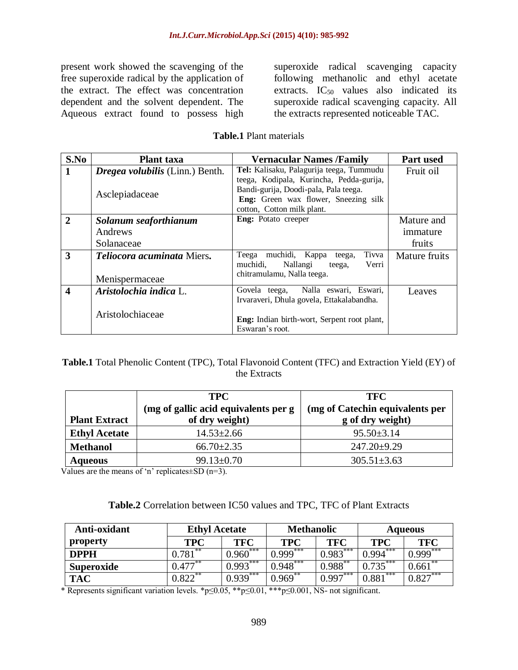present work showed the scavenging of the free superoxide radical by the application of the extract. The effect was concentration dependent and the solvent dependent. The Aqueous extract found to possess high superoxide radical scavenging capacity following methanolic and ethyl acetate extracts.  $IC_{50}$  values also indicated its superoxide radical scavenging capacity. All the extracts represented noticeable TAC.

| S.No                    | <b>Plant</b> taxa                      | <b>Vernacular Names /Family</b>             | Part used     |
|-------------------------|----------------------------------------|---------------------------------------------|---------------|
|                         | <i>Dregea volubilis</i> (Linn.) Benth. | Tel: Kalisaku, Palagurija teega, Tummudu    | Fruit oil     |
|                         |                                        | teega, Kodipala, Kurincha, Pedda-gurija,    |               |
|                         | Asclepiadaceae                         | Bandi-gurija, Doodi-pala, Pala teega.       |               |
|                         |                                        | Eng: Green wax flower, Sneezing silk        |               |
|                         |                                        | cotton, Cotton milk plant.                  |               |
| $\mathbf{2}$            | Solanum seaforthianum                  | Eng: Potato creeper                         | Mature and    |
|                         | Andrews                                |                                             | immature      |
|                         | Solanaceae                             |                                             | fruits        |
| 3                       | Teliocora acuminata Miers.             | Tivva<br>muchidi, Kappa<br>Teega<br>teega,  | Mature fruits |
|                         |                                        | muchidi,<br>Nallangi<br>Verri<br>teega,     |               |
|                         | Menispermaceae                         | chitramulamu, Nalla teega.                  |               |
| $\overline{\mathbf{4}}$ | Aristolochia indica L.                 | Govela teega, Nalla eswari, Eswari,         | Leaves        |
|                         |                                        | Irvaraveri, Dhula govela, Ettakalabandha.   |               |
|                         | Aristolochiaceae                       |                                             |               |
|                         |                                        | Eng: Indian birth-wort, Serpent root plant, |               |
|                         |                                        | Eswaran's root.                             |               |

#### **Table.1** Plant materials

**Table.1** Total Phenolic Content (TPC), Total Flavonoid Content (TFC) and Extraction Yield (EY) of the Extracts

| <b>Plant Extract</b> | <b>TPC</b><br>(mg of gallic acid equivalents per g)<br>of dry weight) | <b>TFC</b><br>(mg of Catechin equivalents per<br>g of dry weight) |
|----------------------|-----------------------------------------------------------------------|-------------------------------------------------------------------|
| <b>Ethyl Acetate</b> | $14.53 \pm 2.66$                                                      | $95.50 \pm 3.14$                                                  |
| <b>Methanol</b>      | $66.70 \pm 2.35$                                                      | $247.20 \pm 9.29$                                                 |
| <b>Aqueous</b>       | $99.13 \pm 0.70$                                                      | $305.51 \pm 3.63$                                                 |

Values are the means of 'n' replicates $\pm$ SD (n=3).

| Table.2 Correlation between IC50 values and TPC, TFC of Plant Extracts |  |  |  |
|------------------------------------------------------------------------|--|--|--|
|------------------------------------------------------------------------|--|--|--|

| Anti-oxidant      | <b>Ethyl Acetate</b> |              | <b>Methanolic</b> |            | <b>Aqueous</b>  |              |
|-------------------|----------------------|--------------|-------------------|------------|-----------------|--------------|
| property          | TPC                  | TFC          | TPC               | <b>TFC</b> | <b>TPC</b>      | <b>TFC</b>   |
| <b>DPPH</b>       | **<br>.781           | ***<br>0.960 | ***<br>999 (      | $0.983***$ | $7***$<br>0.994 | ***<br>0.999 |
| <b>Superoxide</b> | $0.477**$            | $0.993***$   | $0.948***$        | $0.988***$ | $0.735***$      | $0.661***$   |
| <b>TAC</b>        | $0.822$ **           | ***<br>0.939 | **<br>0.969       | $0.997***$ | ***<br>0.881    | $0.827***$   |

\* Represents significant variation levels. \*p≤0.05, \*\*p≤0.01, \*\*\*p≤0.001, NS- not significant.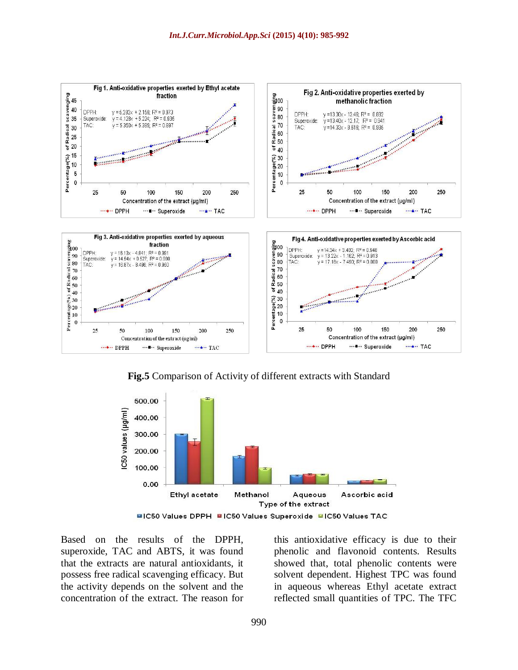

**Fig.5** Comparison of Activity of different extracts with Standard



Based on the results of the DPPH, superoxide, TAC and ABTS, it was found that the extracts are natural antioxidants, it possess free radical scavenging efficacy. But the activity depends on the solvent and the concentration of the extract. The reason for this antioxidative efficacy is due to their phenolic and flavonoid contents. Results showed that, total phenolic contents were solvent dependent. Highest TPC was found in aqueous whereas Ethyl acetate extract reflected small quantities of TPC. The TFC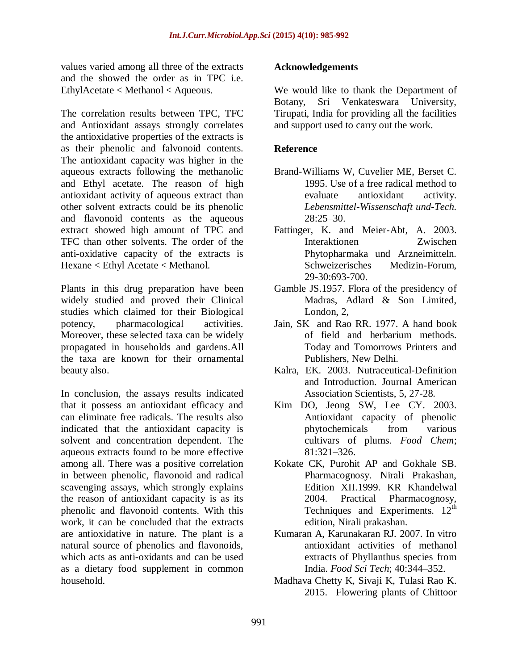values varied among all three of the extracts and the showed the order as in TPC i.e. EthylAcetate < Methanol < Aqueous.

The correlation results between TPC, TFC and Antioxidant assays strongly correlates the antioxidative properties of the extracts is as their phenolic and falvonoid contents. The antioxidant capacity was higher in the aqueous extracts following the methanolic and Ethyl acetate. The reason of high antioxidant activity of aqueous extract than other solvent extracts could be its phenolic and flavonoid contents as the aqueous extract showed high amount of TPC and TFC than other solvents. The order of the anti-oxidative capacity of the extracts is Hexane < Ethyl Acetate < Methanol.

Plants in this drug preparation have been widely studied and proved their Clinical studies which claimed for their Biological potency, pharmacological activities. Moreover, these selected taxa can be widely propagated in households and gardens.All the taxa are known for their ornamental beauty also.

In conclusion, the assays results indicated that it possess an antioxidant efficacy and can eliminate free radicals. The results also indicated that the antioxidant capacity is solvent and concentration dependent. The aqueous extracts found to be more effective among all. There was a positive correlation in between phenolic, flavonoid and radical scavenging assays, which strongly explains the reason of antioxidant capacity is as its phenolic and flavonoid contents. With this work, it can be concluded that the extracts are antioxidative in nature. The plant is a natural source of phenolics and flavonoids, which acts as anti-oxidants and can be used as a dietary food supplement in common household.

### **Acknowledgements**

We would like to thank the Department of Botany, Sri Venkateswara University, Tirupati, India for providing all the facilities and support used to carry out the work.

## **Reference**

- Brand-Williams W, Cuvelier ME, Berset C. 1995. Use of a free radical method to evaluate antioxidant activity. *Lebensmittel-Wissenschaft und-Tech.* 28:25–30.
- Fattinger, K. and Meier-Abt, A. 2003. Interaktionen Zwischen Phytopharmaka und Arzneimitteln. Schweizerisches Medizin-Forum, 29-30:693-700.
- Gamble JS.1957. Flora of the presidency of Madras, Adlard & Son Limited, London, 2,
- Jain, SK and Rao RR. 1977. A hand book of field and herbarium methods. Today and Tomorrows Printers and Publishers, New Delhi.
- Kalra, EK. 2003. Nutraceutical-Definition and Introduction. Journal American Association Scientists, 5, 27-28.
- Kim DO, Jeong SW, Lee CY. 2003. Antioxidant capacity of phenolic phytochemicals from various cultivars of plums. *Food Chem*; 81:321–326.
- Kokate CK, Purohit AP and Gokhale SB. Pharmacognosy. Nirali Prakashan, Edition XII.1999. KR Khandelwal 2004. Practical Pharmacognosy, Techniques and Experiments.  $12<sup>th</sup>$ edition, Nirali prakashan.
- Kumaran A, Karunakaran RJ. 2007. In vitro antioxidant activities of methanol extracts of Phyllanthus species from India. *Food Sci Tech*; 40:344–352.
- Madhava Chetty K, Sivaji K, Tulasi Rao K. 2015. Flowering plants of Chittoor